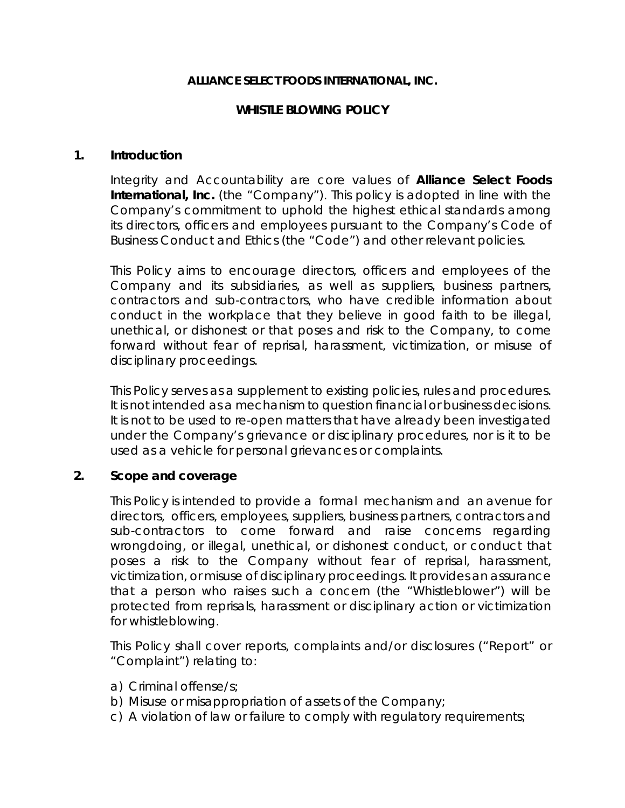#### **ALLIANCE SELECT FOODS INTERNATIONAL, INC.**

### **WHISTLE BLOWING POLICY**

#### **1. Introduction**

Integrity and Accountability are core values of **Alliance Select Foods International, Inc.** (the "Company"). This policy is adopted in line with the Company's commitment to uphold the highest ethical standards among its directors, officers and employees pursuant to the Company's Code of Business Conduct and Ethics (the "Code") and other relevant policies.

This Policy aims to encourage directors, officers and employees of the Company and its subsidiaries, as well as suppliers, business partners, contractors and sub-contractors, who have credible information about conduct in the workplace that they believe in good faith to be illegal, unethical, or dishonest or that poses and risk to the Company, to come forward without fear of reprisal, harassment, victimization, or misuse of disciplinary proceedings.

This Policy serves as a supplement to existing policies, rules and procedures. It is not intended as a mechanism to question financial or business decisions. It is not to be used to re-open matters that have already been investigated under the Company's grievance or disciplinary procedures, nor is it to be used as a vehicle for personal grievances or complaints.

## **2. Scope and coverage**

This Policy is intended to provide a formal mechanism and an avenue for directors, officers, employees, suppliers, business partners, contractors and sub-contractors to come forward and raise concerns regarding wrongdoing, or illegal, unethical, or dishonest conduct, or conduct that poses a risk to the Company without fear of reprisal, harassment, victimization, or misuse of disciplinary proceedings. It provides an assurance that a person who raises such a concern (the "Whistleblower") will be protected from reprisals, harassment or disciplinary action or victimization for whistleblowing.

This Policy shall cover reports, complaints and/or disclosures ("Report" or "Complaint") relating to:

- a) Criminal offense/s;
- b) Misuse or misappropriation of assets of the Company;
- c) A violation of law or failure to comply with regulatory requirements;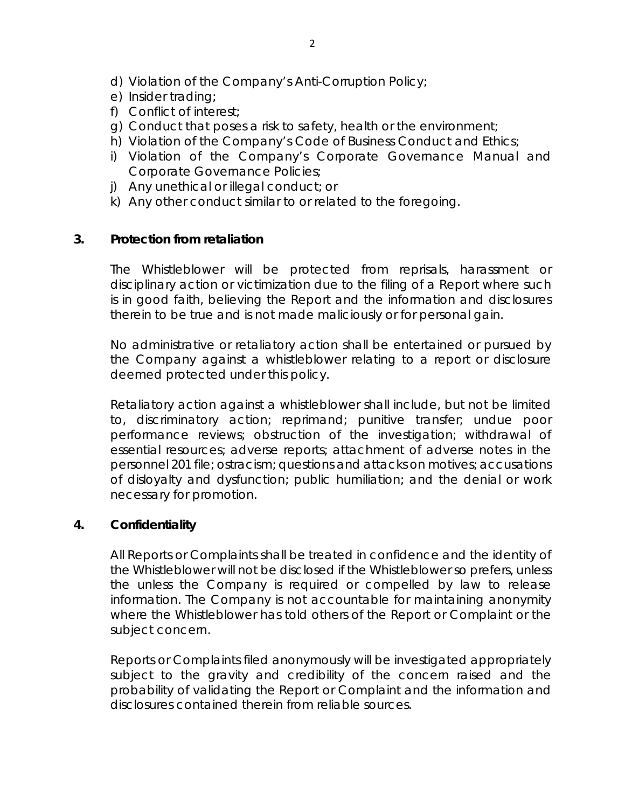- e) Insider trading;
- f) Conflict of interest;
- g) Conduct that poses a risk to safety, health or the environment;
- h) Violation of the Company's Code of Business Conduct and Ethics;
- i) Violation of the Company's Corporate Governance Manual and Corporate Governance Policies;
- j) Any unethical or illegal conduct; or
- k) Any other conduct similar to or related to the foregoing.

### **3. Protection from retaliation**

The Whistleblower will be protected from reprisals, harassment or disciplinary action or victimization due to the filing of a Report where such is in good faith, believing the Report and the information and disclosures therein to be true and is not made maliciously or for personal gain.

No administrative or retaliatory action shall be entertained or pursued by the Company against a whistleblower relating to a report or disclosure deemed protected under this policy.

Retaliatory action against a whistleblower shall include, but not be limited to, discriminatory action; reprimand; punitive transfer; undue poor performance reviews; obstruction of the investigation; withdrawal of essential resources; adverse reports; attachment of adverse notes in the personnel 201 file; ostracism; questions and attacks on motives; accusations of disloyalty and dysfunction; public humiliation; and the denial or work necessary for promotion.

#### **4. Confidentiality**

All Reports or Complaints shall be treated in confidence and the identity of the Whistleblower will not be disclosed if the Whistleblower so prefers, unless the unless the Company is required or compelled by law to release information. The Company is not accountable for maintaining anonymity where the Whistleblower has told others of the Report or Complaint or the subject concern.

Reports or Complaints filed anonymously will be investigated appropriately subject to the gravity and credibility of the concern raised and the probability of validating the Report or Complaint and the information and disclosures contained therein from reliable sources.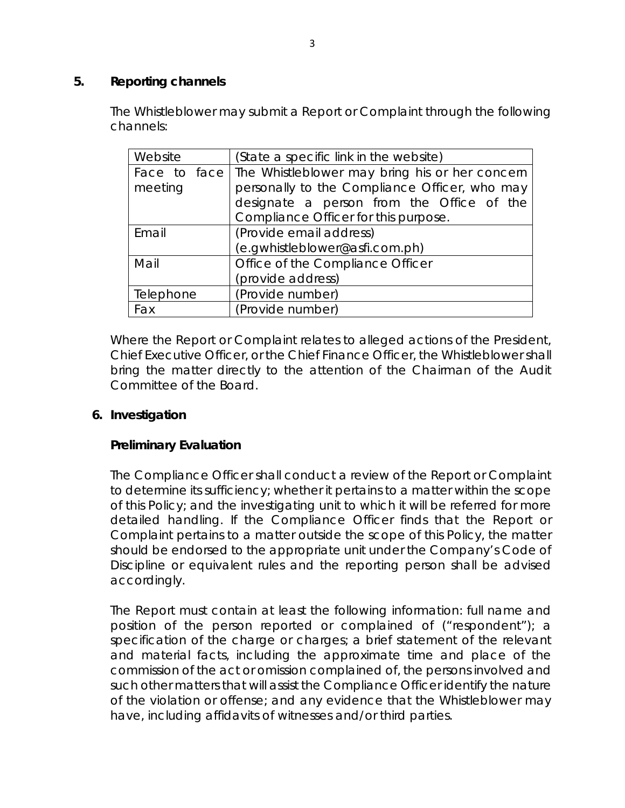## **5. Reporting channels**

The Whistleblower may submit a Report or Complaint through the following channels:

| Website   | (State a specific link in the website)                        |
|-----------|---------------------------------------------------------------|
|           | Face to face   The Whistleblower may bring his or her concern |
| meeting   | personally to the Compliance Officer, who may                 |
|           | designate a person from the Office of the                     |
|           | Compliance Officer for this purpose.                          |
| Email     | (Provide email address)                                       |
|           | (e.gwhistleblower@asfi.com.ph)                                |
| Mail      | Office of the Compliance Officer                              |
|           | (provide address)                                             |
| Telephone | (Provide number)                                              |
| Fax       | (Provide number)                                              |

Where the Report or Complaint relates to alleged actions of the President, Chief Executive Officer, or the Chief Finance Officer, the Whistleblower shall bring the matter directly to the attention of the Chairman of the Audit Committee of the Board.

## **6. Investigation**

## **Preliminary Evaluation**

The Compliance Officer shall conduct a review of the Report or Complaint to determine its sufficiency; whether it pertains to a matter within the scope of this Policy; and the investigating unit to which it will be referred for more detailed handling. If the Compliance Officer finds that the Report or Complaint pertains to a matter outside the scope of this Policy, the matter should be endorsed to the appropriate unit under the Company's Code of Discipline or equivalent rules and the reporting person shall be advised accordingly.

The Report must contain at least the following information: full name and position of the person reported or complained of ("respondent"); a specification of the charge or charges; a brief statement of the relevant and material facts, including the approximate time and place of the commission of the act or omission complained of, the persons involved and such other matters that will assist the Compliance Officer identify the nature of the violation or offense; and any evidence that the Whistleblower may have, including affidavits of witnesses and/or third parties.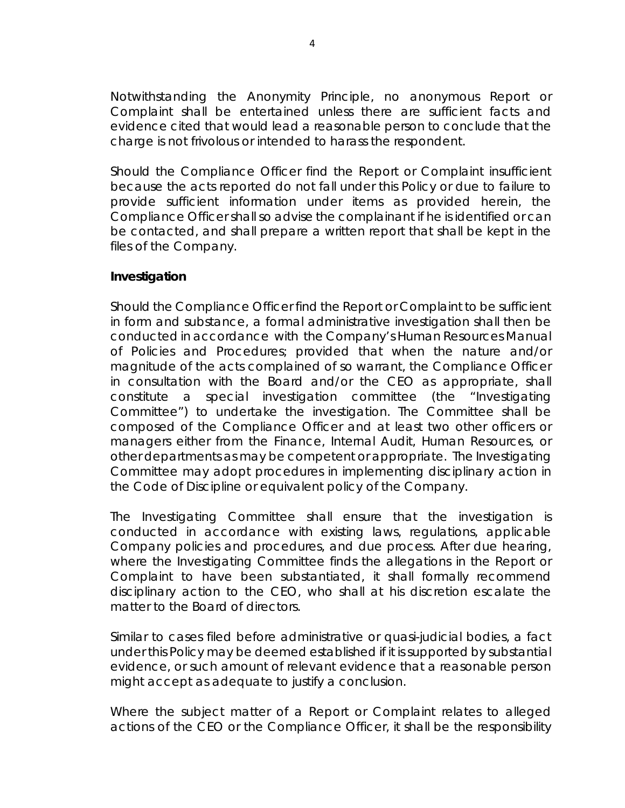Notwithstanding the Anonymity Principle, no anonymous Report or Complaint shall be entertained unless there are sufficient facts and evidence cited that would lead a reasonable person to conclude that the charge is not frivolous or intended to harass the respondent.

Should the Compliance Officer find the Report or Complaint insufficient because the acts reported do not fall under this Policy or due to failure to provide sufficient information under items as provided herein, the Compliance Officer shall so advise the complainant if he is identified or can be contacted, and shall prepare a written report that shall be kept in the files of the Company.

#### **Investigation**

Should the Compliance Officer find the Report or Complaint to be sufficient in form and substance, a formal administrative investigation shall then be conducted in accordance with the Company's Human Resources Manual of Policies and Procedures; provided that when the nature and/or magnitude of the acts complained of so warrant, the Compliance Officer in consultation with the Board and/or the CEO as appropriate, shall constitute a special investigation committee (the "Investigating Committee") to undertake the investigation. The Committee shall be composed of the Compliance Officer and at least two other officers or managers either from the Finance, Internal Audit, Human Resources, or other departments as may be competent or appropriate. The Investigating Committee may adopt procedures in implementing disciplinary action in the Code of Discipline or equivalent policy of the Company.

The Investigating Committee shall ensure that the investigation is conducted in accordance with existing laws, regulations, applicable Company policies and procedures, and due process. After due hearing, where the Investigating Committee finds the allegations in the Report or Complaint to have been substantiated, it shall formally recommend disciplinary action to the CEO, who shall at his discretion escalate the matter to the Board of directors.

Similar to cases filed before administrative or quasi-judicial bodies, a fact under this Policy may be deemed established if it is supported by substantial evidence, or such amount of relevant evidence that a reasonable person might accept as adequate to justify a conclusion.

Where the subject matter of a Report or Complaint relates to alleged actions of the CEO or the Compliance Officer, it shall be the responsibility